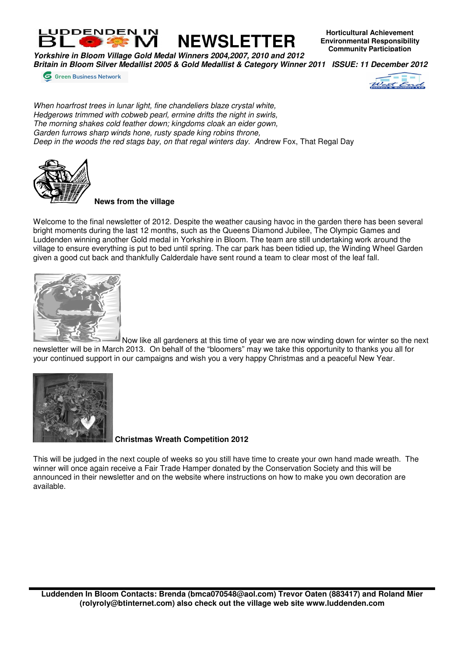

**EXECUTE:** NEWSLETTER

**Horticultural Achievement Environmental Responsibility Community Participation**

**Yorkshire in Bloom Village Gold Medal Winners 2004,2007, 2010 and 2012 Britain in Bloom Silver Medallist 2005 & Gold Medallist & Category Winner 2011 ISSUE: 11 December 2012** 

**6** Green Business Network



When hoarfrost trees in lunar light, fine chandeliers blaze crystal white, Hedgerows trimmed with cobweb pearl, ermine drifts the night in swirls, The morning shakes cold feather down; kingdoms cloak an eider gown, Garden furrows sharp winds hone, rusty spade king robins throne, Deep in the woods the red stags bay, on that regal winters day. Andrew Fox, That Regal Day



## **News from the village**

Welcome to the final newsletter of 2012. Despite the weather causing havoc in the garden there has been several bright moments during the last 12 months, such as the Queens Diamond Jubilee, The Olympic Games and Luddenden winning another Gold medal in Yorkshire in Bloom. The team are still undertaking work around the village to ensure everything is put to bed until spring. The car park has been tidied up, the Winding Wheel Garden given a good cut back and thankfully Calderdale have sent round a team to clear most of the leaf fall.



Now like all gardeners at this time of year we are now winding down for winter so the next newsletter will be in March 2013. On behalf of the "bloomers" may we take this opportunity to thanks you all for your continued support in our campaigns and wish you a very happy Christmas and a peaceful New Year.



 **Christmas Wreath Competition 2012** 

This will be judged in the next couple of weeks so you still have time to create your own hand made wreath. The winner will once again receive a Fair Trade Hamper donated by the Conservation Society and this will be announced in their newsletter and on the website where instructions on how to make you own decoration are available.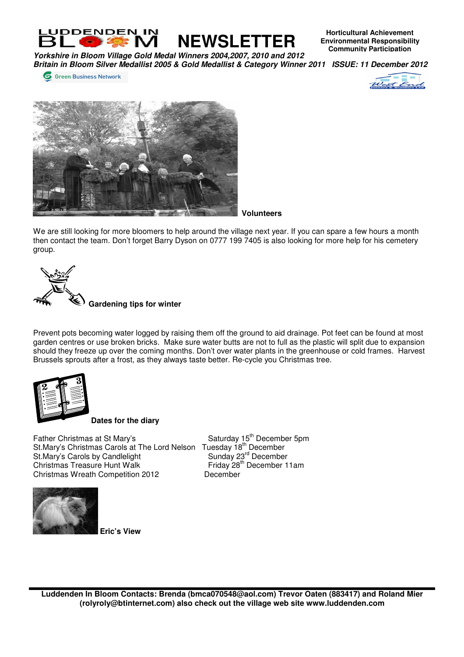

**Horticultural Achievement Environmental Responsibility Community Participation**

**Yorkshire in Bloom Village Gold Medal Winners 2004,2007, 2010 and 2012 Britain in Bloom Silver Medallist 2005 & Gold Medallist & Category Winner 2011 ISSUE: 11 December 2012** 

**6** Green Business Network





**Volunteers**

We are still looking for more bloomers to help around the village next year. If you can spare a few hours a month then contact the team. Don't forget Barry Dyson on 0777 199 7405 is also looking for more help for his cemetery group.



Prevent pots becoming water logged by raising them off the ground to aid drainage. Pot feet can be found at most garden centres or use broken bricks. Make sure water butts are not to full as the plastic will split due to expansion should they freeze up over the coming months. Don't over water plants in the greenhouse or cold frames. Harvest Brussels sprouts after a frost, as they always taste better. Re-cycle you Christmas tree.



**Dates for the diary**

Father Christmas at St Mary's Saturday 15<sup>th</sup> December 5pm St.Mary's Christmas Carols at The Lord Nelson Tuesday 18<sup>th</sup> December St.Mary's Carols by Candlelight Sunday 23<sup>rd</sup> December Christmas Treasure Hunt Walk Friday 28<sup>th</sup> December 11am<br>Christmas Wreath Competition 2012 December Christmas Wreath Competition 2012



 **Eric's View** 

**Luddenden In Bloom Contacts: Brenda (bmca070548@aol.com) Trevor Oaten (883417) and Roland Mier (rolyroly@btinternet.com) also check out the village web site www.luddenden.com**